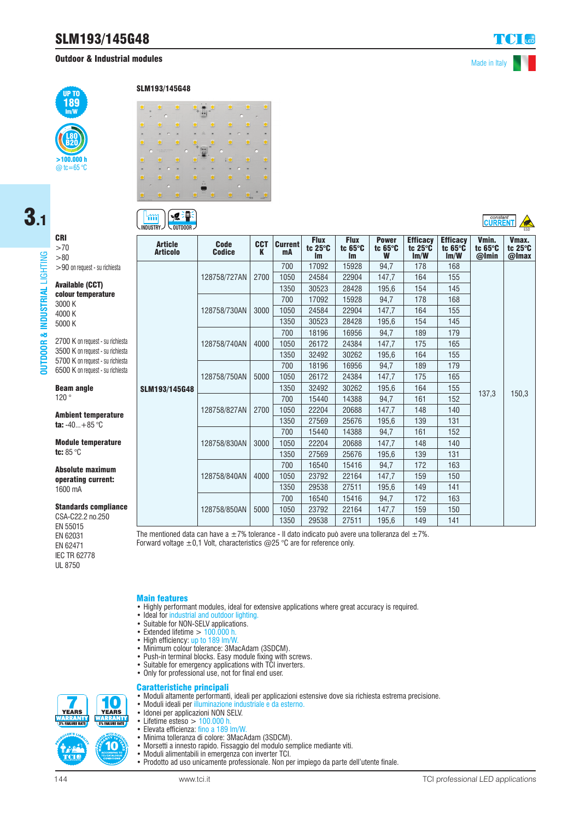# SLM193/145G48

# **Outdoor & Industrial modules** Made in Italy



# 3.1CRI

>70 LIGHTING **OUTDOOR & INDUSTRIAL** LIGHTING >80 >90 on request - su richiesta Available (CCT) ISTRIAL colour temperature 3000 K 4000 K **INDUS** 5000 K  $\mathbf{a}$ 

DOOR 旨 2700 K on request - su richiesta 3500 K on request - su richiesta 5700 K on request - su richiesta 6500 K on request - su richiesta

Beam angle 120 °

Ambient temperature ta:  $-40...+85$  °C

Module temperature tc: 85 °C

Absolute maximum operating current: 1600 mA

Standards compliance

**10 YEARS** 

*TANK MANYAR*<br>5% FAILURE RATE

10

CSA-C22.2 no.250 EN 55015 EN 62031 EN 62471 IEC TR 62778 UL 8750

SLM193/145G48



#### **SOFF**  $\mathfrak{m}$ **INDUSTRY**  $\vee$  outdoor  $\vee$

| <b>Article</b><br><b>Articolo</b> | <b>Code</b><br><b>Codice</b> | <b>CCT</b><br>K | <b>Current</b><br>mA | <b>Flux</b><br>tc 25°C<br>Im | <b>Flux</b><br>tc $65^\circ C$<br><b>Im</b> | <b>Power</b><br>tc $65^\circ$ C<br>W | <b>Efficacy</b><br>tc 25°C<br>Im/W | <b>Efficacy</b><br>tc $65^\circ$ C<br>Im/W | Vmin.<br>tc 65°C<br>@Imin | Vmax.<br>tc $25^\circ$ C<br>@Imax |
|-----------------------------------|------------------------------|-----------------|----------------------|------------------------------|---------------------------------------------|--------------------------------------|------------------------------------|--------------------------------------------|---------------------------|-----------------------------------|
|                                   |                              |                 | 700                  | 17092                        | 15928                                       | 94.7                                 | 178                                | 168                                        |                           |                                   |
|                                   | 128758/727AN                 | 2700            | 1050                 | 24584                        | 22904                                       | 147,7                                | 164                                | 155                                        |                           |                                   |
|                                   |                              |                 | 1350                 | 30523                        | 28428                                       | 195,6                                | 154                                | 145                                        |                           |                                   |
|                                   |                              |                 | 700                  | 17092                        | 15928                                       | 94,7                                 | 178                                | 168                                        |                           |                                   |
| SLM193/145G48                     | 128758/730AN                 | 3000            | 1050                 | 24584                        | 22904                                       | 147,7                                | 164                                | 155                                        | 137,3                     | 150,3                             |
|                                   |                              |                 | 1350                 | 30523                        | 28428                                       | 195,6                                | 154                                | 145                                        |                           |                                   |
|                                   | 128758/740AN                 | 4000            | 700                  | 18196                        | 16956                                       | 94,7                                 | 189                                | 179                                        |                           |                                   |
|                                   |                              |                 | 1050                 | 26172                        | 24384                                       | 147,7                                | 175                                | 165                                        |                           |                                   |
|                                   |                              |                 | 1350                 | 32492                        | 30262                                       | 195,6                                | 164                                | 155                                        |                           |                                   |
|                                   | 128758/750AN                 | 5000            | 700                  | 18196                        | 16956                                       | 94.7                                 | 189                                | 179                                        |                           |                                   |
|                                   |                              |                 | 1050                 | 26172                        | 24384                                       | 147,7                                | 175                                | 165                                        |                           |                                   |
|                                   |                              |                 | 1350                 | 32492                        | 30262                                       | 195,6                                | 164                                | 155                                        |                           |                                   |
|                                   | 128758/827AN                 | 2700            | 700                  | 15440                        | 14388                                       | 94,7                                 | 161                                | 152                                        |                           |                                   |
|                                   |                              |                 | 1050                 | 22204                        | 20688                                       | 147,7                                | 148                                | 140                                        |                           |                                   |
|                                   |                              |                 | 1350                 | 27569                        | 25676                                       | 195,6                                | 139                                | 131                                        |                           |                                   |
|                                   | 128758/830AN                 | 3000            | 700                  | 15440                        | 14388                                       | 94,7                                 | 161                                | 152                                        |                           |                                   |
|                                   |                              |                 | 1050                 | 22204                        | 20688                                       | 147,7                                | 148                                | 140                                        |                           |                                   |
|                                   |                              |                 | 1350                 | 27569                        | 25676                                       | 195,6                                | 139                                | 131                                        |                           |                                   |
|                                   | 128758/840AN                 | 4000            | 700                  | 16540                        | 15416                                       | 94.7                                 | 172                                | 163                                        |                           |                                   |
|                                   |                              |                 | 1050                 | 23792                        | 22164                                       | 147,7                                | 159                                | 150                                        |                           |                                   |
|                                   |                              |                 | 1350                 | 29538                        | 27511                                       | 195,6                                | 149                                | 141                                        |                           |                                   |
|                                   | 128758/850AN                 | 5000            | 700                  | 16540                        | 15416                                       | 94,7                                 | 172                                | 163                                        |                           |                                   |
|                                   |                              |                 | 1050                 | 23792                        | 22164                                       | 147,7                                | 159                                | 150                                        |                           |                                   |
|                                   |                              |                 | 1350                 | 29538                        | 27511                                       | 195.6                                | 149                                | 141                                        |                           |                                   |

The mentioned data can have a  $\pm 7$ % tolerance - Il dato indicato può avere una tolleranza del  $\pm 7$ %. Forward voltage  $\pm 0.1$  Volt, characteristics @25 °C are for reference only.

# Main features

- Highly performant modules, ideal for extensive applications where great accuracy is required.
- Ideal for industrial and outdoor lighting.
- Suitable for NON-SELV applications.
- $\bullet$  Extended lifetime  $> 100.000$  h.
- High efficiency: up to 189 lm/W
- Minimum colour tolerance: 3MacAdam (3SDCM).
- Push-in terminal blocks. Easy module fixing with screws.
- Suitable for emergency applications with TCI inverters.
- Only for professional use, not for final end user.

# Caratteristiche principali

- Moduli altamente performanti, ideali per applicazioni estensive dove sia richiesta estrema precisione.
- Moduli ideali per illuminazione industriale e da esterno.
- Idonei per applicazioni NON SELV.<br>• Lifetime esteso  $\geq$  100,000 b
- Lifetime esteso  $> 100.000$  h.<br>• Elevata efficienza: fino a 189 l.
- Elevata efficienza: fino a 189 lm/W.
- Minima tolleranza di colore: 3MacAdam (3SDCM).
- Morsetti a innesto rapido. Fissaggio del modulo semplice mediante viti.
- Moduli alimentabili in emergenza con inverter TCI.
- Prodotto ad uso unicamente professionale. Non per impiego da parte dell'utente finale.

**YEARS** 

ALAN ANG INITI